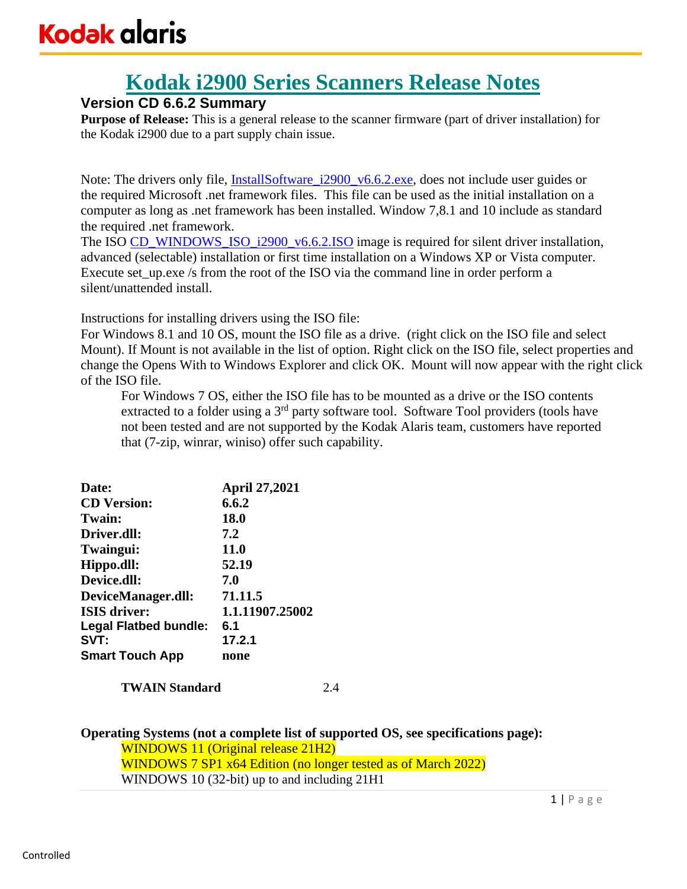# **Kodak i2900 Series Scanners Release Notes**

### **Version CD 6.6.2 Summary**

**Purpose of Release:** This is a general release to the scanner firmware (part of driver installation) for the Kodak i2900 due to a part supply chain issue.

Note: The drivers only file, [InstallSoftware\\_i2900\\_v6.6.2.exe,](https://support.alarisworld.com/i2900-scanner#Software) does not include user guides or the required Microsoft .net framework files. This file can be used as the initial installation on a computer as long as .net framework has been installed. Window 7,8.1 and 10 include as standard the required .net framework.

The ISO [CD\\_WINDOWS\\_ISO\\_i2900\\_v6.6.2.ISO](https://support.alarisworld.com/i2900-scanner#Software) image is required for silent driver installation, advanced (selectable) installation or first time installation on a Windows XP or Vista computer. Execute set\_up.exe /s from the root of the ISO via the command line in order perform a silent/unattended install.

Instructions for installing drivers using the ISO file:

For Windows 8.1 and 10 OS, mount the ISO file as a drive. (right click on the ISO file and select Mount). If Mount is not available in the list of option. Right click on the ISO file, select properties and change the Opens With to Windows Explorer and click OK. Mount will now appear with the right click of the ISO file.

For Windows 7 OS, either the ISO file has to be mounted as a drive or the ISO contents extracted to a folder using a  $3<sup>rd</sup>$  party software tool. Software Tool providers (tools have not been tested and are not supported by the Kodak Alaris team, customers have reported that (7-zip, winrar, winiso) offer such capability.

| Date:                  | <b>April 27,2021</b> |
|------------------------|----------------------|
| <b>CD</b> Version:     | 6.6.2                |
| Twain:                 | 18.0                 |
| Driver.dll:            | 7.2                  |
| Twaingui:              | <b>11.0</b>          |
| Hippo.dll:             | 52.19                |
| Device.dll:            | 7.0                  |
| DeviceManager.dll:     | 71.11.5              |
| <b>ISIS</b> driver:    | 1.1.11907.25002      |
| Legal Flatbed bundle:  | 6.1                  |
| SVT:                   | 17.2.1               |
| <b>Smart Touch App</b> | none                 |

**TWAIN Standard** 2.4

**Operating Systems (not a complete list of supported OS, see specifications page):** WINDOWS 11 (Original release 21H2) WINDOWS 7 SP1 x64 Edition (no longer tested as of March 2022) WINDOWS 10 (32-bit) up to and including 21H1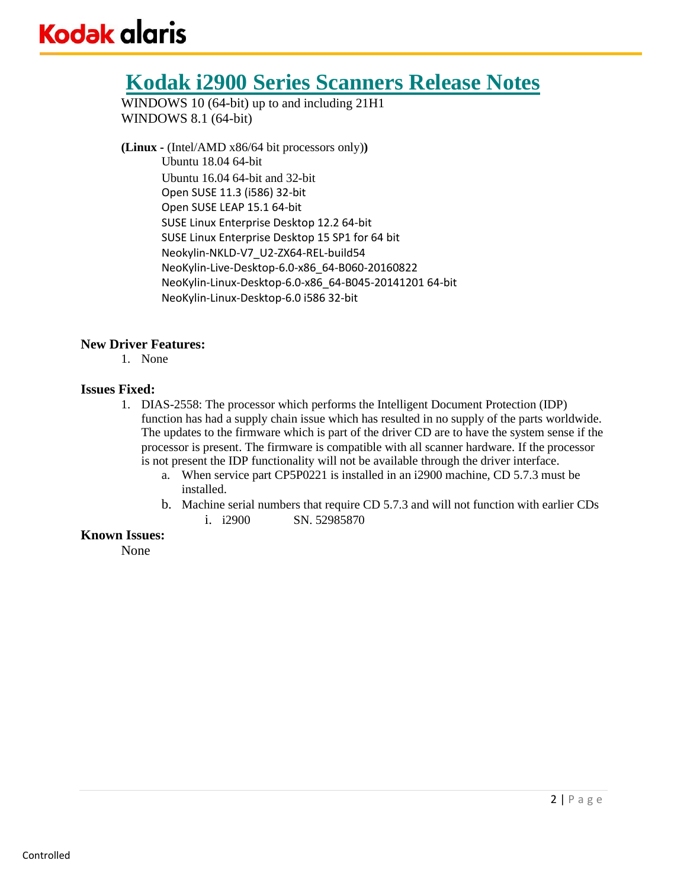WINDOWS 10 (64-bit) up to and including 21H1 WINDOWS 8.1 (64-bit)

**(Linux -** (Intel/AMD x86/64 bit processors only)**)** Ubuntu 18.04 64-bit Ubuntu 16.04 64-bit and 32-bit Open SUSE 11.3 (i586) 32-bit Open SUSE LEAP 15.1 64-bit SUSE Linux Enterprise Desktop 12.2 64-bit SUSE Linux Enterprise Desktop 15 SP1 for 64 bit Neokylin-NKLD-V7\_U2-ZX64-REL-build54 NeoKylin-Live-Desktop-6.0-x86\_64-B060-20160822 NeoKylin-Linux-Desktop-6.0-x86\_64-B045-20141201 64-bit NeoKylin-Linux-Desktop-6.0 i586 32-bit

#### **New Driver Features:**

1. None

#### **Issues Fixed:**

- 1. DIAS-2558: The processor which performs the Intelligent Document Protection (IDP) function has had a supply chain issue which has resulted in no supply of the parts worldwide. The updates to the firmware which is part of the driver CD are to have the system sense if the processor is present. The firmware is compatible with all scanner hardware. If the processor is not present the IDP functionality will not be available through the driver interface.
	- a. When service part CP5P0221 is installed in an i2900 machine, CD 5.7.3 must be installed.
	- b. Machine serial numbers that require CD 5.7.3 and will not function with earlier CDs i. i2900 SN. 52985870

#### **Known Issues:**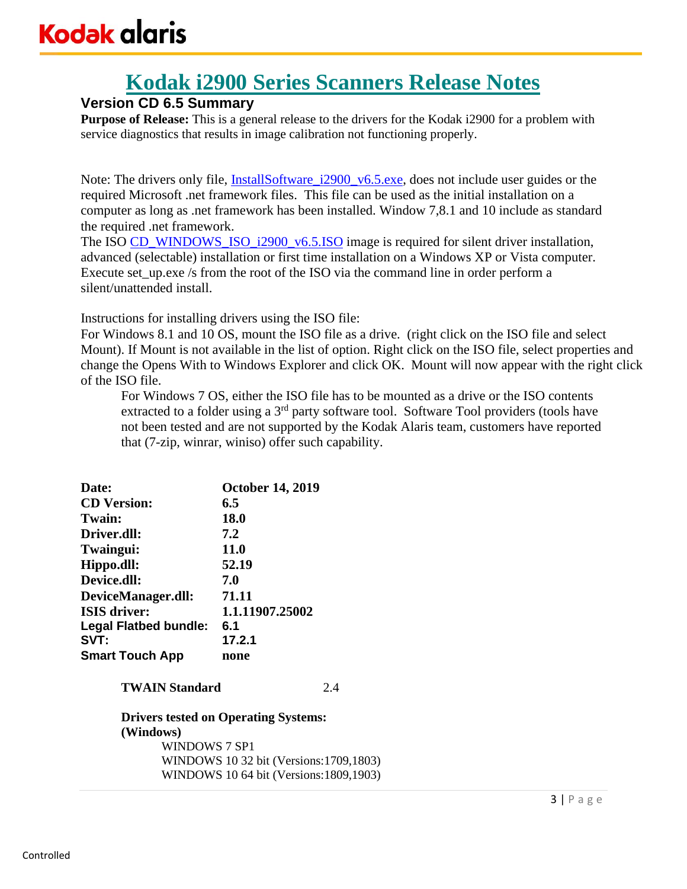# **Kodak i2900 Series Scanners Release Notes**

### **Version CD 6.5 Summary**

**Purpose of Release:** This is a general release to the drivers for the Kodak i2900 for a problem with service diagnostics that results in image calibration not functioning properly.

Note: The drivers only file, InstallSoftware 12900\_v6.5.exe, does not include user guides or the required Microsoft .net framework files. This file can be used as the initial installation on a computer as long as .net framework has been installed. Window 7,8.1 and 10 include as standard the required .net framework.

The ISO [CD\\_WINDOWS\\_ISO\\_i2900\\_v6.5.ISO](https://support.alarisworld.com/i2900-scanner#Software) image is required for silent driver installation, advanced (selectable) installation or first time installation on a Windows XP or Vista computer. Execute set\_up.exe /s from the root of the ISO via the command line in order perform a silent/unattended install.

Instructions for installing drivers using the ISO file:

For Windows 8.1 and 10 OS, mount the ISO file as a drive. (right click on the ISO file and select Mount). If Mount is not available in the list of option. Right click on the ISO file, select properties and change the Opens With to Windows Explorer and click OK. Mount will now appear with the right click of the ISO file.

For Windows 7 OS, either the ISO file has to be mounted as a drive or the ISO contents extracted to a folder using a  $3<sup>rd</sup>$  party software tool. Software Tool providers (tools have not been tested and are not supported by the Kodak Alaris team, customers have reported that (7-zip, winrar, winiso) offer such capability.

| Date:                               | <b>October 14, 2019</b> |
|-------------------------------------|-------------------------|
| <b>CD</b> Version:                  | 6.5                     |
| Twain:                              | 18.0                    |
| Driver.dll:                         | 7.2                     |
| Twaingui:                           | <b>11.0</b>             |
| Hippo.dll:                          | 52.19                   |
| Device.dll:                         | 7.0                     |
| DeviceManager.dll:                  | 71.11                   |
| <b>ISIS</b> driver:                 | 1.1.11907.25002         |
| <b>Legal Flatbed bundle:</b>        | 6.1                     |
| SVT:                                | 17.2.1                  |
| <b>Smart Touch App</b>              | none                    |
| <b>TWAIN Standard</b>               | 2.4                     |
| Drivans tosted on Operating Systems |                         |

**Drivers tested on Operating Systems: (Windows)** WINDOWS 7 SP1 WINDOWS 10 32 bit (Versions:1709,1803) WINDOWS 10 64 bit (Versions:1809,1903)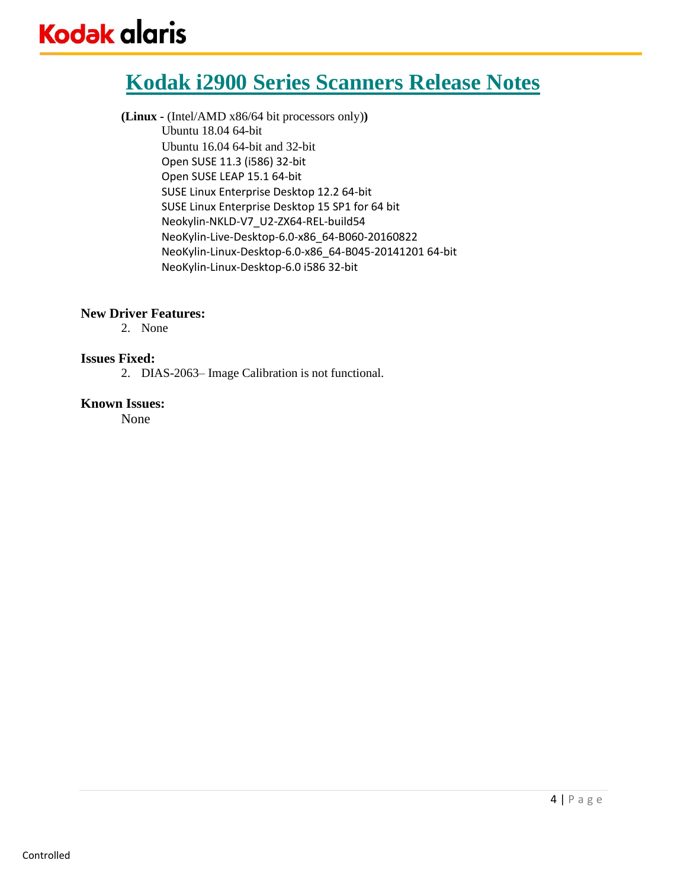## **Kodak i2900 Series Scanners Release Notes**

**(Linux -** (Intel/AMD x86/64 bit processors only)**)** Ubuntu 18.04 64-bit Ubuntu 16.04 64-bit and 32-bit Open SUSE 11.3 (i586) 32-bit Open SUSE LEAP 15.1 64-bit SUSE Linux Enterprise Desktop 12.2 64-bit SUSE Linux Enterprise Desktop 15 SP1 for 64 bit Neokylin-NKLD-V7\_U2-ZX64-REL-build54 NeoKylin-Live-Desktop-6.0-x86\_64-B060-20160822 NeoKylin-Linux-Desktop-6.0-x86\_64-B045-20141201 64-bit NeoKylin-Linux-Desktop-6.0 i586 32-bit

#### **New Driver Features:**

2. None

#### **Issues Fixed:**

2. DIAS-2063– Image Calibration is not functional.

#### **Known Issues:**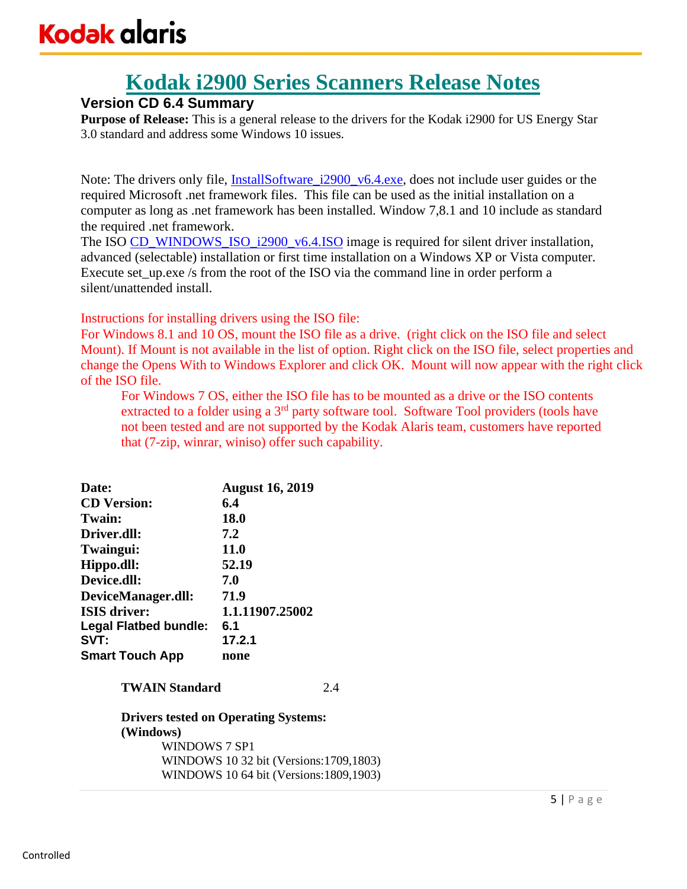## **Kodak i2900 Series Scanners Release Notes**

### **Version CD 6.4 Summary**

**Purpose of Release:** This is a general release to the drivers for the Kodak i2900 for US Energy Star 3.0 standard and address some Windows 10 issues.

Note: The drivers only file, InstallSoftware 12900 v6.4.exe, does not include user guides or the required Microsoft .net framework files. This file can be used as the initial installation on a computer as long as .net framework has been installed. Window 7,8.1 and 10 include as standard the required .net framework.

The ISO [CD\\_WINDOWS\\_ISO\\_i2900\\_v6.4.ISO](https://support.alarisworld.com/i2900-scanner#Software) image is required for silent driver installation, advanced (selectable) installation or first time installation on a Windows XP or Vista computer. Execute set\_up.exe /s from the root of the ISO via the command line in order perform a silent/unattended install.

Instructions for installing drivers using the ISO file:

For Windows 8.1 and 10 OS, mount the ISO file as a drive. (right click on the ISO file and select Mount). If Mount is not available in the list of option. Right click on the ISO file, select properties and change the Opens With to Windows Explorer and click OK. Mount will now appear with the right click of the ISO file.

For Windows 7 OS, either the ISO file has to be mounted as a drive or the ISO contents extracted to a folder using a  $3<sup>rd</sup>$  party software tool. Software Tool providers (tools have not been tested and are not supported by the Kodak Alaris team, customers have reported that (7-zip, winrar, winiso) offer such capability.

| Date:                        | <b>August 16, 2019</b> |
|------------------------------|------------------------|
| <b>CD</b> Version:           | 6.4                    |
| Twain:                       | 18.0                   |
| Driver.dll:                  | 7.2                    |
| Twaingui:                    | <b>11.0</b>            |
| Hippo.dll:                   | 52.19                  |
| Device.dll:                  | 7.0                    |
| DeviceManager.dll:           | 71.9                   |
| <b>ISIS</b> driver:          | 1.1.11907.25002        |
| <b>Legal Flatbed bundle:</b> | 6.1                    |
| SVT:                         | 17.2.1                 |
| <b>Smart Touch App</b>       | none                   |
| $\mathbf{m}$                 | ı                      |

**TWAIN Standard** 2.4

**Drivers tested on Operating Systems: (Windows)** WINDOWS 7 SP1 WINDOWS 10 32 bit (Versions:1709,1803) WINDOWS 10 64 bit (Versions:1809,1903)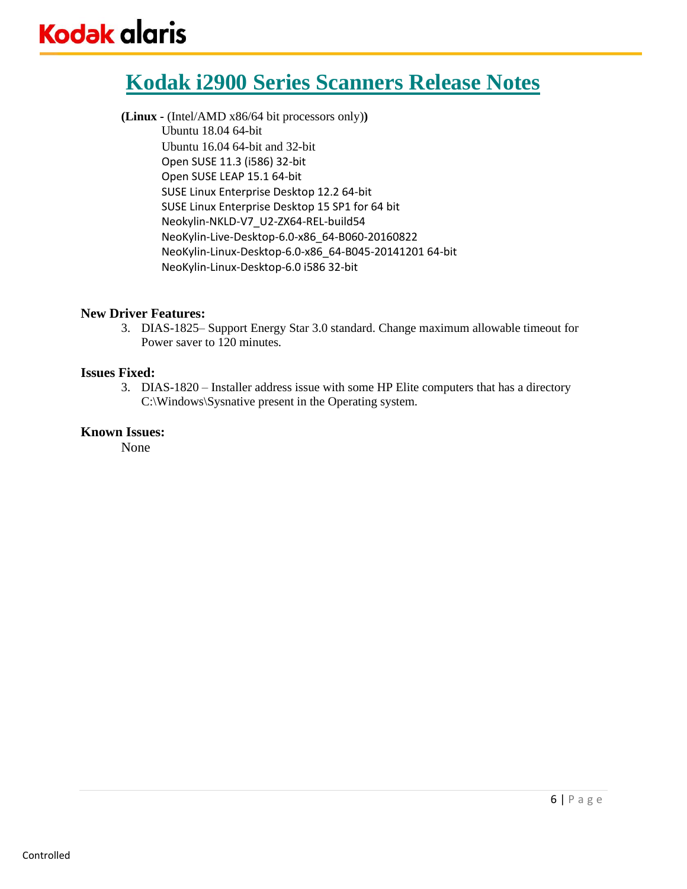# **Kodak i2900 Series Scanners Release Notes**

**(Linux -** (Intel/AMD x86/64 bit processors only)**)** Ubuntu 18.04 64-bit Ubuntu 16.04 64-bit and 32-bit Open SUSE 11.3 (i586) 32-bit Open SUSE LEAP 15.1 64-bit SUSE Linux Enterprise Desktop 12.2 64-bit SUSE Linux Enterprise Desktop 15 SP1 for 64 bit Neokylin-NKLD-V7\_U2-ZX64-REL-build54 NeoKylin-Live-Desktop-6.0-x86\_64-B060-20160822 NeoKylin-Linux-Desktop-6.0-x86\_64-B045-20141201 64-bit NeoKylin-Linux-Desktop-6.0 i586 32-bit

#### **New Driver Features:**

3. DIAS-1825– Support Energy Star 3.0 standard. Change maximum allowable timeout for Power saver to 120 minutes.

#### **Issues Fixed:**

3. DIAS-1820 – Installer address issue with some HP Elite computers that has a directory C:\Windows\Sysnative present in the Operating system.

#### **Known Issues:**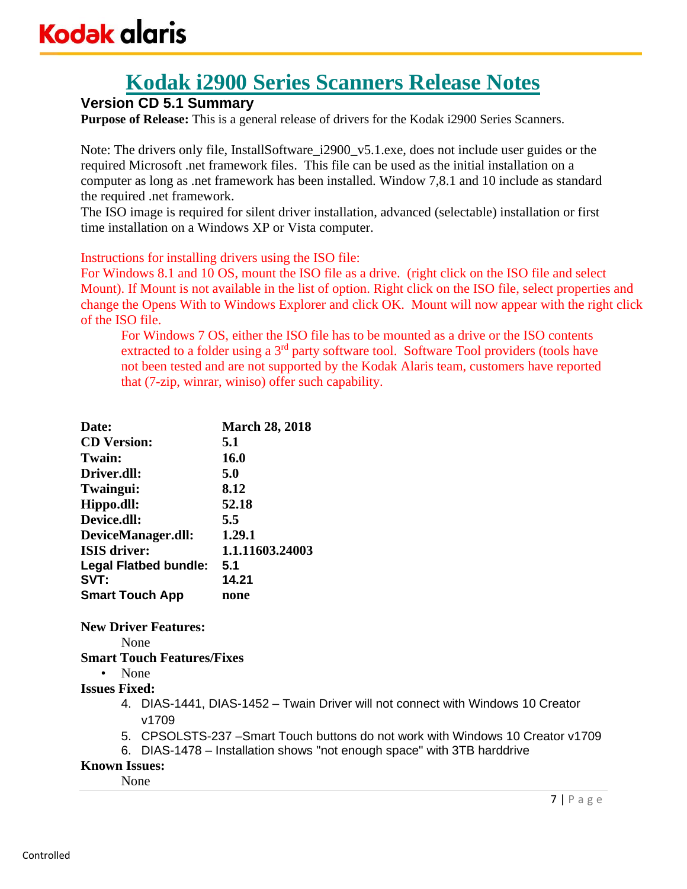### **Version CD 5.1 Summary**

**Purpose of Release:** This is a general release of drivers for the Kodak i2900 Series Scanners.

Note: The drivers only file, InstallSoftware\_i2900\_v5.1.exe, does not include user guides or the required Microsoft .net framework files. This file can be used as the initial installation on a computer as long as .net framework has been installed. Window 7,8.1 and 10 include as standard the required .net framework.

The ISO image is required for silent driver installation, advanced (selectable) installation or first time installation on a Windows XP or Vista computer.

Instructions for installing drivers using the ISO file:

For Windows 8.1 and 10 OS, mount the ISO file as a drive. (right click on the ISO file and select Mount). If Mount is not available in the list of option. Right click on the ISO file, select properties and change the Opens With to Windows Explorer and click OK. Mount will now appear with the right click of the ISO file.

For Windows 7 OS, either the ISO file has to be mounted as a drive or the ISO contents extracted to a folder using a  $3<sup>rd</sup>$  party software tool. Software Tool providers (tools have not been tested and are not supported by the Kodak Alaris team, customers have reported that (7-zip, winrar, winiso) offer such capability.

| Date:                        | <b>March 28, 2018</b> |
|------------------------------|-----------------------|
| <b>CD</b> Version:           | 5.1                   |
| Twain:                       | <b>16.0</b>           |
| Driver.dll:                  | 5.0                   |
| Twaingui:                    | 8.12                  |
| Hippo.dll:                   | 52.18                 |
| Device.dll:                  | 5.5                   |
| DeviceManager.dll:           | 1.29.1                |
| <b>ISIS</b> driver:          | 1.1.11603.24003       |
| <b>Legal Flatbed bundle:</b> | 5.1                   |
| SVT:                         | 14.21                 |
| <b>Smart Touch App</b>       | none                  |

**New Driver Features:**

None

#### **Smart Touch Features/Fixes**

- None
- **Issues Fixed:**
	- 4. DIAS-1441, DIAS-1452 Twain Driver will not connect with Windows 10 Creator v1709
	- 5. CPSOLSTS-237 –Smart Touch buttons do not work with Windows 10 Creator v1709
	- 6. DIAS-1478 Installation shows "not enough space" with 3TB harddrive

**Known Issues:**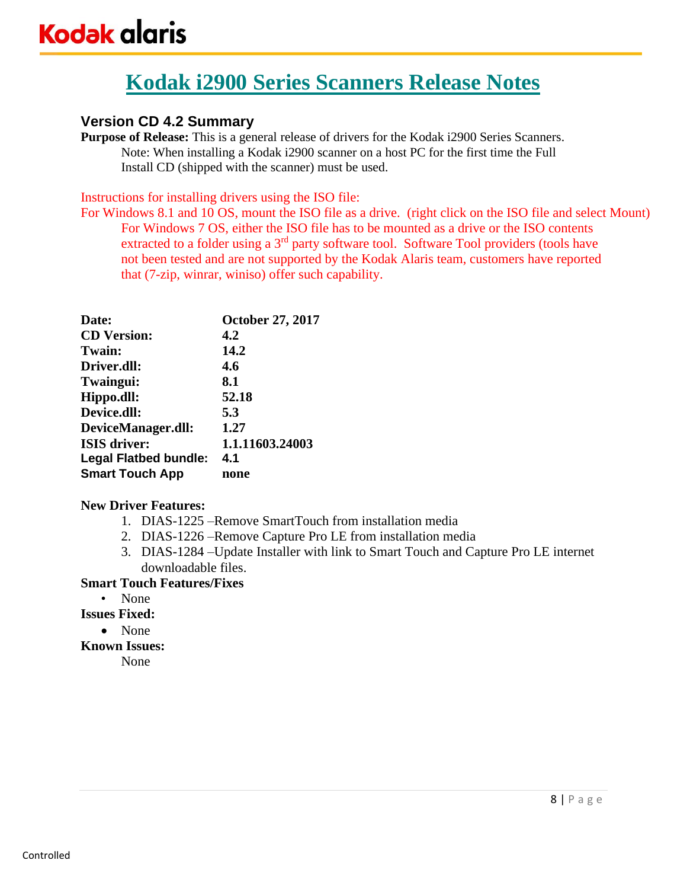## **Kodak i2900 Series Scanners Release Notes**

### **Version CD 4.2 Summary**

**Purpose of Release:** This is a general release of drivers for the Kodak i2900 Series Scanners. Note: When installing a Kodak i2900 scanner on a host PC for the first time the Full Install CD (shipped with the scanner) must be used.

Instructions for installing drivers using the ISO file:

For Windows 8.1 and 10 OS, mount the ISO file as a drive. (right click on the ISO file and select Mount) For Windows 7 OS, either the ISO file has to be mounted as a drive or the ISO contents extracted to a folder using a 3<sup>rd</sup> party software tool. Software Tool providers (tools have not been tested and are not supported by the Kodak Alaris team, customers have reported that (7-zip, winrar, winiso) offer such capability.

| Date:                        | <b>October 27, 2017</b> |
|------------------------------|-------------------------|
| <b>CD</b> Version:           | 4.2                     |
| Twain:                       | 14.2                    |
| Driver.dll:                  | 4.6                     |
| Twaingui:                    | 8.1                     |
| Hippo.dll:                   | 52.18                   |
| Device.dll:                  | 5.3                     |
| DeviceManager.dll:           | 1.27                    |
| <b>ISIS driver:</b>          | 1.1.11603.24003         |
| <b>Legal Flatbed bundle:</b> | 4.1                     |
| <b>Smart Touch App</b>       | none                    |

#### **New Driver Features:**

- 1. DIAS-1225 –Remove SmartTouch from installation media
- 2. DIAS-1226 –Remove Capture Pro LE from installation media
- 3. DIAS-1284 –Update Installer with link to Smart Touch and Capture Pro LE internet downloadable files.

#### **Smart Touch Features/Fixes**

• None

**Issues Fixed:**

- None
- **Known Issues:**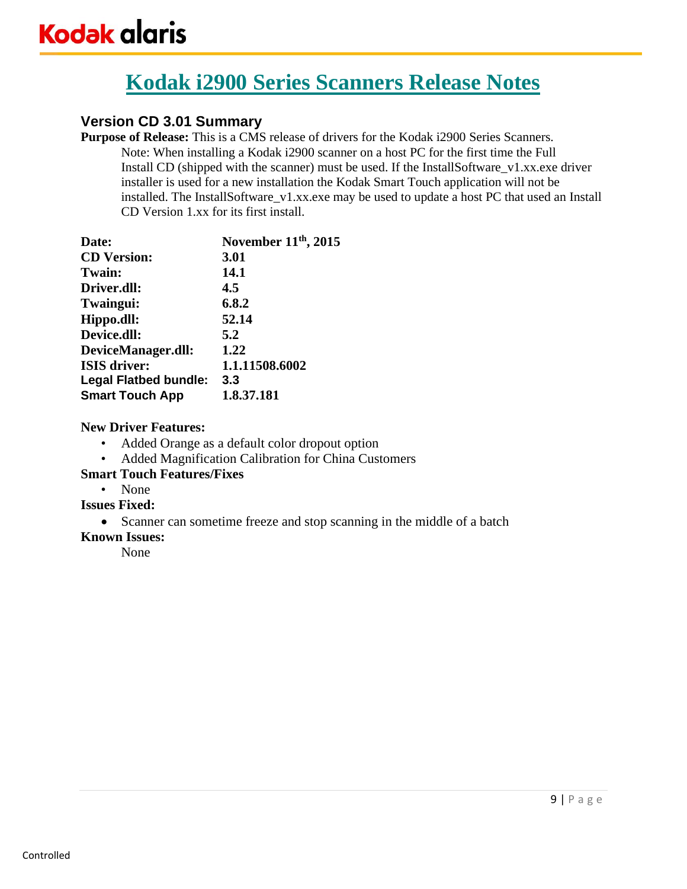### **Version CD 3.01 Summary**

**Purpose of Release:** This is a CMS release of drivers for the Kodak i2900 Series Scanners. Note: When installing a Kodak i2900 scanner on a host PC for the first time the Full Install CD (shipped with the scanner) must be used. If the InstallSoftware\_v1.xx.exe driver installer is used for a new installation the Kodak Smart Touch application will not be installed. The InstallSoftware\_v1.xx.exe may be used to update a host PC that used an Install CD Version 1.xx for its first install.

| Date:                  | November 11 <sup>th</sup> , 2015 |
|------------------------|----------------------------------|
| <b>CD</b> Version:     | 3.01                             |
| Twain:                 | 14.1                             |
| Driver.dll:            | 4.5                              |
| Twaingui:              | 6.8.2                            |
| Hippo.dll:             | 52.14                            |
| Device.dll:            | 5.2                              |
| DeviceManager.dll:     | 1.22                             |
| <b>ISIS</b> driver:    | 1.1.11508.6002                   |
| Legal Flatbed bundle:  | 3.3                              |
| <b>Smart Touch App</b> | 1.8.37.181                       |
|                        |                                  |

#### **New Driver Features:**

- Added Orange as a default color dropout option
- Added Magnification Calibration for China Customers

#### **Smart Touch Features/Fixes**

• None

#### **Issues Fixed:**

• Scanner can sometime freeze and stop scanning in the middle of a batch

#### **Known Issues:**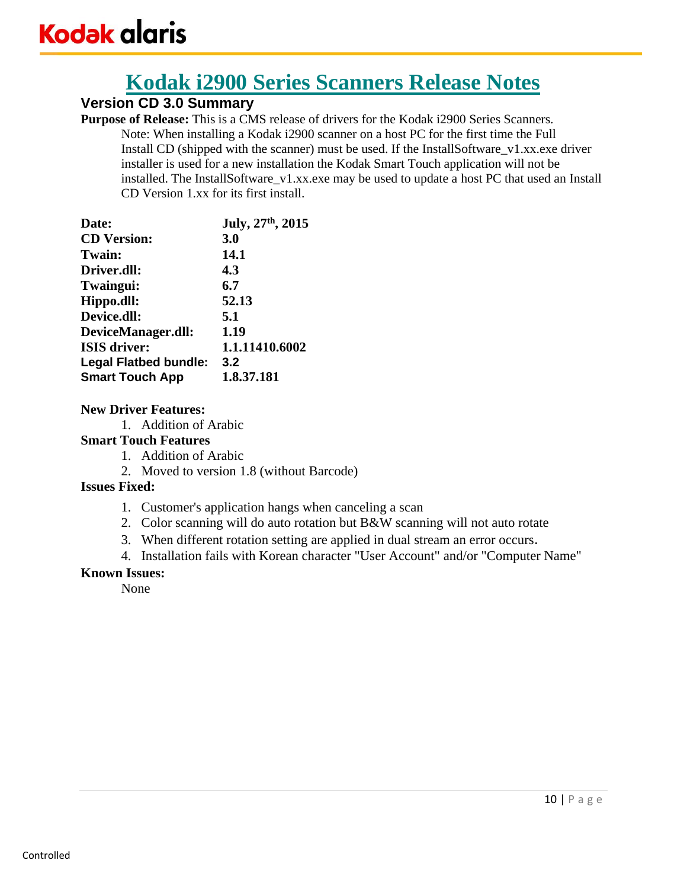### **Version CD 3.0 Summary**

**Purpose of Release:** This is a CMS release of drivers for the Kodak i2900 Series Scanners. Note: When installing a Kodak i2900 scanner on a host PC for the first time the Full Install CD (shipped with the scanner) must be used. If the InstallSoftware  $v1$ ,xx.exe driver installer is used for a new installation the Kodak Smart Touch application will not be installed. The InstallSoftware\_v1.xx.exe may be used to update a host PC that used an Install CD Version 1.xx for its first install.

| Date:                        | July, 27th, 2015 |
|------------------------------|------------------|
| <b>CD</b> Version:           | 3.0              |
| Twain:                       | 14.1             |
| Driver.dll:                  | 4.3              |
| Twaingui:                    | 6.7              |
| Hippo.dll:                   | 52.13            |
| Device.dll:                  | 5.1              |
| DeviceManager.dll:           | 1.19             |
| <b>ISIS</b> driver:          | 1.1.11410.6002   |
| <b>Legal Flatbed bundle:</b> | $3.2\,$          |
| <b>Smart Touch App</b>       | 1.8.37.181       |
|                              |                  |

#### **New Driver Features:**

1. Addition of Arabic

#### **Smart Touch Features**

- 1. Addition of Arabic
- 2. Moved to version 1.8 (without Barcode)

#### **Issues Fixed:**

- 1. Customer's application hangs when canceling a scan
- 2. Color scanning will do auto rotation but B&W scanning will not auto rotate
- 3. When different rotation setting are applied in dual stream an error occurs.
- 4. Installation fails with Korean character "User Account" and/or "Computer Name"

#### **Known Issues:**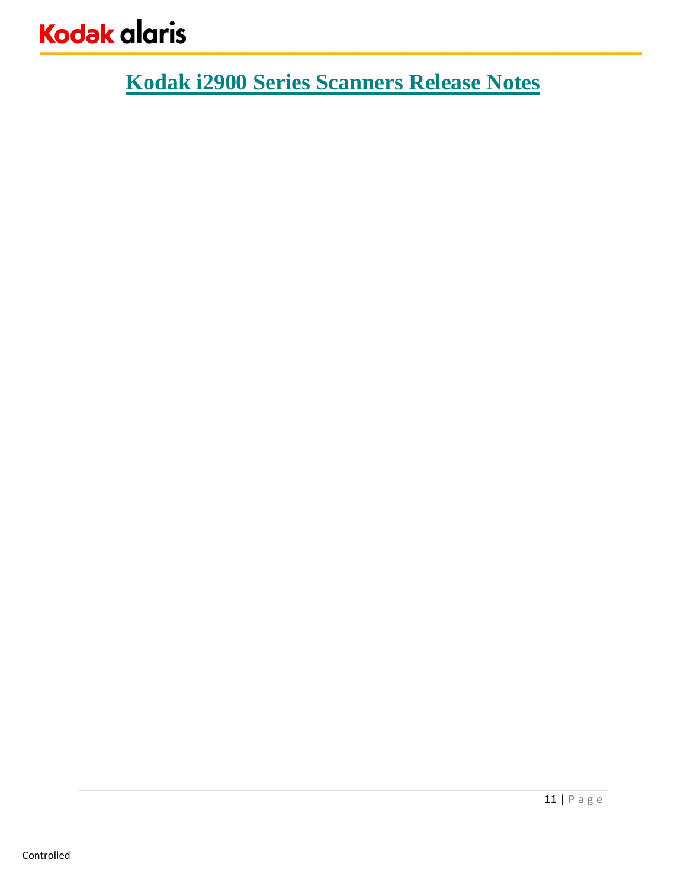**Kodak i2900 Series Scanners Release Notes**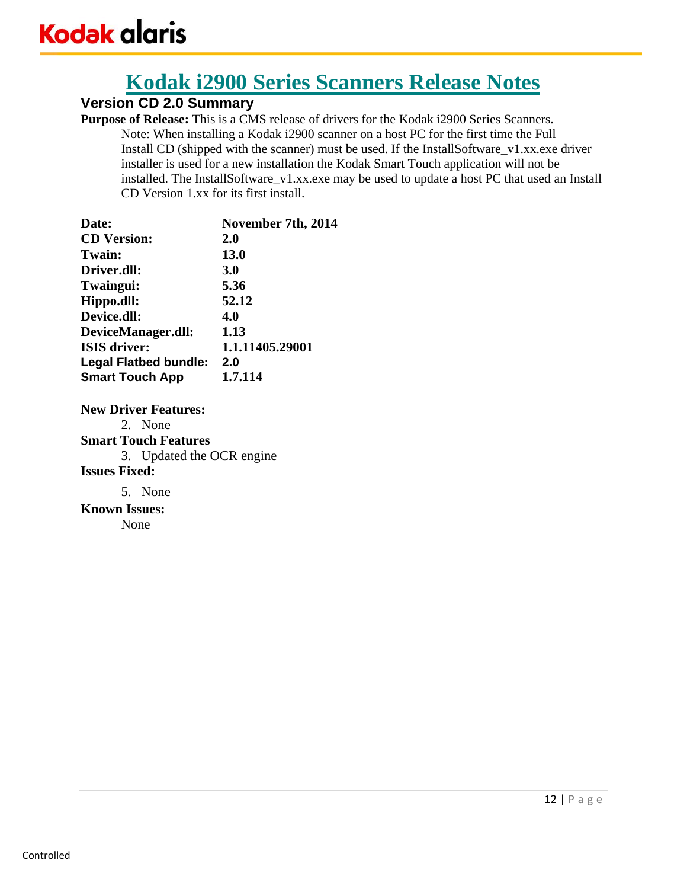### **Version CD 2.0 Summary**

**Purpose of Release:** This is a CMS release of drivers for the Kodak i2900 Series Scanners. Note: When installing a Kodak i2900 scanner on a host PC for the first time the Full Install CD (shipped with the scanner) must be used. If the InstallSoftware\_v1.xx.exe driver installer is used for a new installation the Kodak Smart Touch application will not be installed. The InstallSoftware\_v1.xx.exe may be used to update a host PC that used an Install CD Version 1.xx for its first install.

| Date:                        | November 7th, 2014 |
|------------------------------|--------------------|
| <b>CD</b> Version:           | 2.0                |
| Twain:                       | 13.0               |
| Driver.dll:                  | <b>3.0</b>         |
| Twaingui:                    | 5.36               |
| Hippo.dll:                   | 52.12              |
| Device.dll:                  | 4.0                |
| DeviceManager.dll:           | 1.13               |
| <b>ISIS</b> driver:          | 1.1.11405.29001    |
| <b>Legal Flatbed bundle:</b> | 2.0                |
| <b>Smart Touch App</b>       | 1.7.114            |
|                              |                    |

**New Driver Features:** 2. None **Smart Touch Features** 3. Updated the OCR engine **Issues Fixed:** 5. None **Known Issues:**  None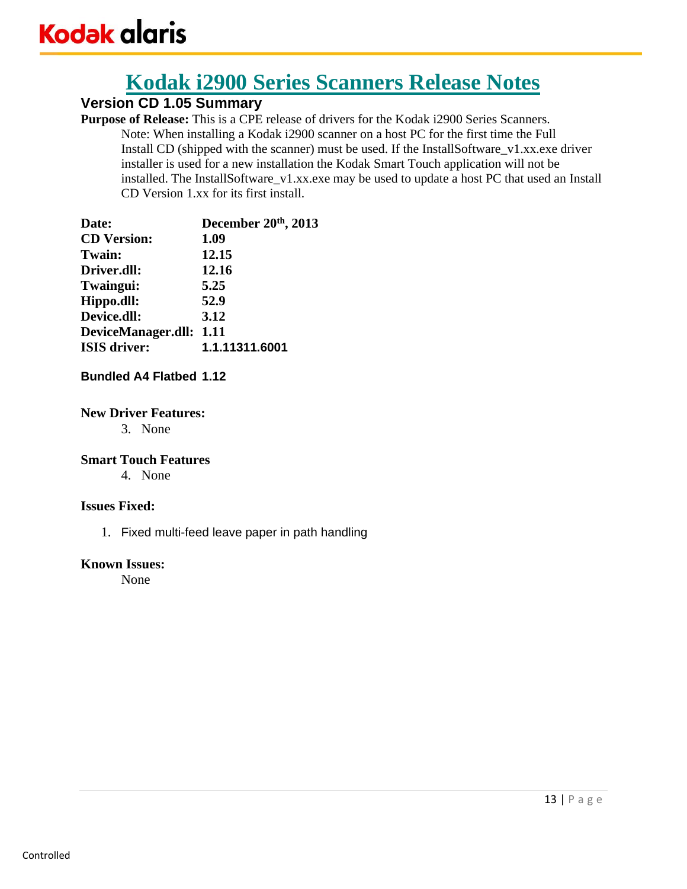### **Version CD 1.05 Summary**

**Purpose of Release:** This is a CPE release of drivers for the Kodak i2900 Series Scanners. Note: When installing a Kodak i2900 scanner on a host PC for the first time the Full Install CD (shipped with the scanner) must be used. If the InstallSoftware\_v1.xx.exe driver installer is used for a new installation the Kodak Smart Touch application will not be installed. The InstallSoftware\_v1.xx.exe may be used to update a host PC that used an Install CD Version 1.xx for its first install.

| Date:                   | December 20th, 2013 |
|-------------------------|---------------------|
| <b>CD</b> Version:      | 1.09                |
| Twain:                  | 12.15               |
| Driver.dll:             | 12.16               |
| Twaingui:               | 5.25                |
| Hippo.dll:              | 52.9                |
| Device.dll:             | 3.12                |
| DeviceManager.dll: 1.11 |                     |
| <b>ISIS</b> driver:     | 1.1.11311.6001      |
|                         |                     |

#### **Bundled A4 Flatbed 1.12**

#### **New Driver Features:**

3. None

#### **Smart Touch Features**

4. None

#### **Issues Fixed:**

1. Fixed multi-feed leave paper in path handling

#### **Known Issues:**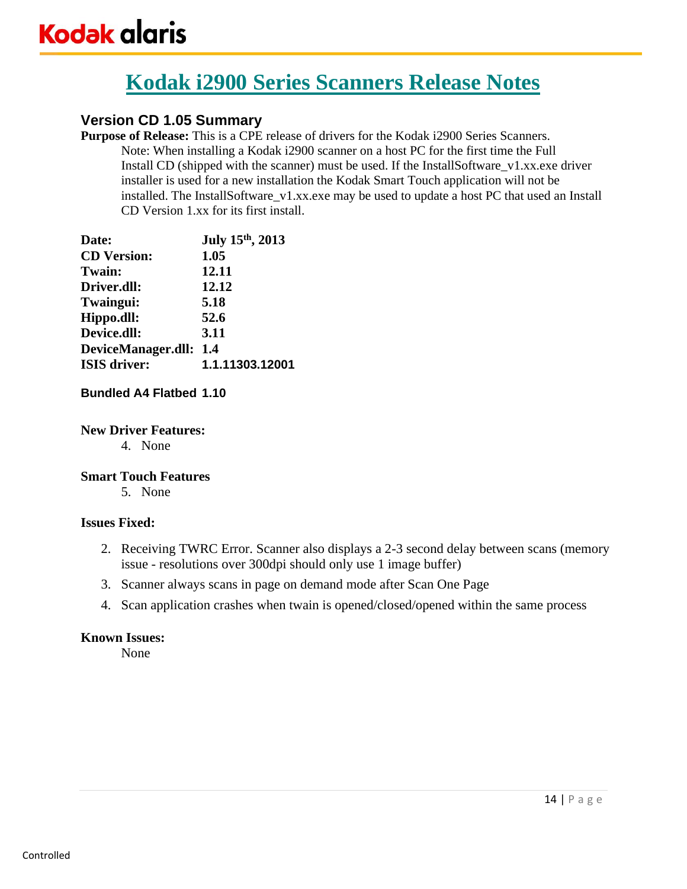### **Version CD 1.05 Summary**

**Purpose of Release:** This is a CPE release of drivers for the Kodak i2900 Series Scanners. Note: When installing a Kodak i2900 scanner on a host PC for the first time the Full Install CD (shipped with the scanner) must be used. If the InstallSoftware\_v1.xx.exe driver installer is used for a new installation the Kodak Smart Touch application will not be installed. The InstallSoftware\_v1.xx.exe may be used to update a host PC that used an Install CD Version 1.xx for its first install.

| July 15th, 2013        |
|------------------------|
| 1.05                   |
| 12.11                  |
| 12.12                  |
| 5.18                   |
| 52.6                   |
| 3.11                   |
| DeviceManager.dll: 1.4 |
| 1.1.11303.12001        |
|                        |

#### **Bundled A4 Flatbed 1.10**

#### **New Driver Features:**

4. None

#### **Smart Touch Features**

5. None

#### **Issues Fixed:**

- 2. Receiving TWRC Error. Scanner also displays a 2-3 second delay between scans (memory issue - resolutions over 300dpi should only use 1 image buffer)
- 3. Scanner always scans in page on demand mode after Scan One Page
- 4. Scan application crashes when twain is opened/closed/opened within the same process

#### **Known Issues:**